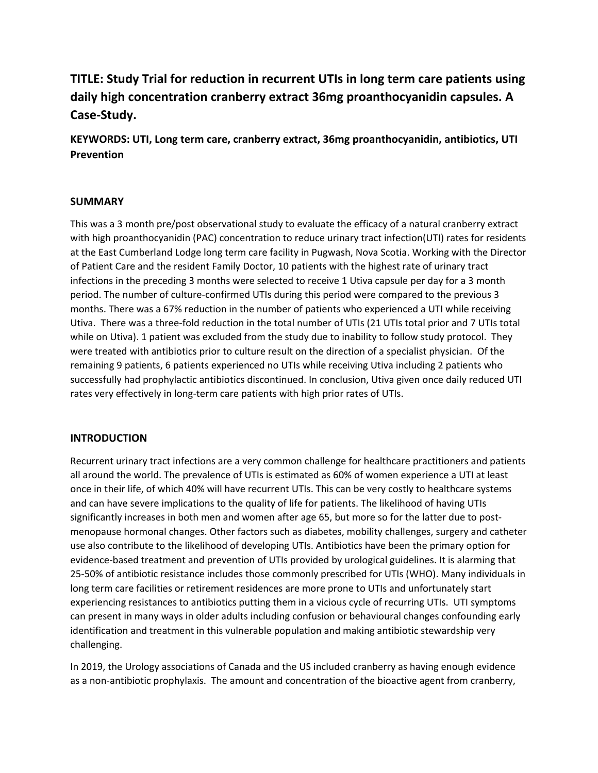# **TITLE: Study Trial for reduction in recurrent UTIs in long term care patients using daily high concentration cranberry extract 36mg proanthocyanidin capsules. A Case-Study.**

**KEYWORDS: UTI, Long term care, cranberry extract, 36mg proanthocyanidin, antibiotics, UTI Prevention**

### **SUMMARY**

This was a 3 month pre/post observational study to evaluate the efficacy of a natural cranberry extract with high proanthocyanidin (PAC) concentration to reduce urinary tract infection(UTI) rates for residents at the East Cumberland Lodge long term care facility in Pugwash, Nova Scotia. Working with the Director of Patient Care and the resident Family Doctor, 10 patients with the highest rate of urinary tract infections in the preceding 3 months were selected to receive 1 Utiva capsule per day for a 3 month period. The number of culture-confirmed UTIs during this period were compared to the previous 3 months. There was a 67% reduction in the number of patients who experienced a UTI while receiving Utiva. There was a three-fold reduction in the total number of UTIs (21 UTIs total prior and 7 UTIs total while on Utiva). 1 patient was excluded from the study due to inability to follow study protocol. They were treated with antibiotics prior to culture result on the direction of a specialist physician. Of the remaining 9 patients, 6 patients experienced no UTIs while receiving Utiva including 2 patients who successfully had prophylactic antibiotics discontinued. In conclusion, Utiva given once daily reduced UTI rates very effectively in long-term care patients with high prior rates of UTIs.

### **INTRODUCTION**

Recurrent urinary tract infections are a very common challenge for healthcare practitioners and patients all around the world. The prevalence of UTIs is estimated as 60% of women experience a UTI at least once in their life, of which 40% will have recurrent UTIs. This can be very costly to healthcare systems and can have severe implications to the quality of life for patients. The likelihood of having UTIs significantly increases in both men and women after age 65, but more so for the latter due to postmenopause hormonal changes. Other factors such as diabetes, mobility challenges, surgery and catheter use also contribute to the likelihood of developing UTIs. Antibiotics have been the primary option for evidence-based treatment and prevention of UTIs provided by urological guidelines. It is alarming that 25-50% of antibiotic resistance includes those commonly prescribed for UTIs (WHO). Many individuals in long term care facilities or retirement residences are more prone to UTIs and unfortunately start experiencing resistances to antibiotics putting them in a vicious cycle of recurring UTIs. UTI symptoms can present in many ways in older adults including confusion or behavioural changes confounding early identification and treatment in this vulnerable population and making antibiotic stewardship very challenging.

In 2019, the Urology associations of Canada and the US included cranberry as having enough evidence as a non-antibiotic prophylaxis. The amount and concentration of the bioactive agent from cranberry,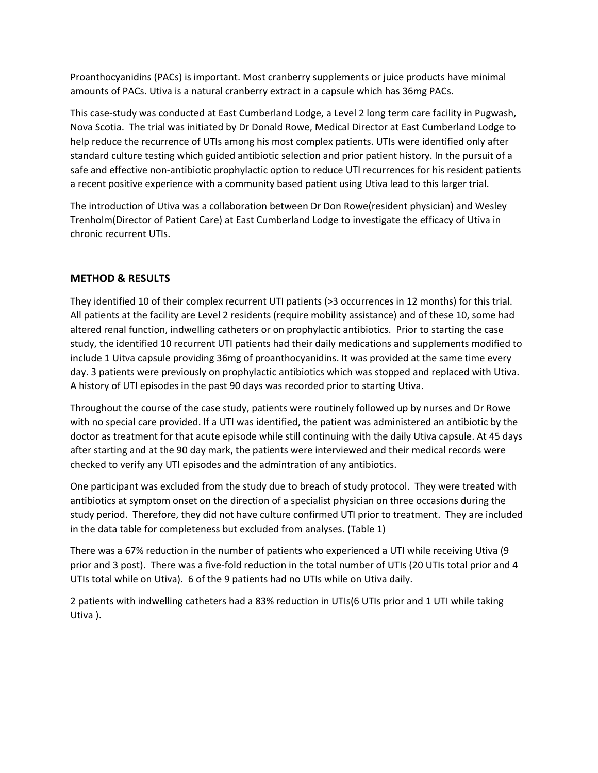Proanthocyanidins (PACs) is important. Most cranberry supplements or juice products have minimal amounts of PACs. Utiva is a natural cranberry extract in a capsule which has 36mg PACs.

This case-study was conducted at East Cumberland Lodge, a Level 2 long term care facility in Pugwash, Nova Scotia. The trial was initiated by Dr Donald Rowe, Medical Director at East Cumberland Lodge to help reduce the recurrence of UTIs among his most complex patients. UTIs were identified only after standard culture testing which guided antibiotic selection and prior patient history. In the pursuit of a safe and effective non-antibiotic prophylactic option to reduce UTI recurrences for his resident patients a recent positive experience with a community based patient using Utiva lead to this larger trial.

The introduction of Utiva was a collaboration between Dr Don Rowe(resident physician) and Wesley Trenholm(Director of Patient Care) at East Cumberland Lodge to investigate the efficacy of Utiva in chronic recurrent UTIs.

## **METHOD & RESULTS**

They identified 10 of their complex recurrent UTI patients (>3 occurrences in 12 months) for this trial. All patients at the facility are Level 2 residents (require mobility assistance) and of these 10, some had altered renal function, indwelling catheters or on prophylactic antibiotics. Prior to starting the case study, the identified 10 recurrent UTI patients had their daily medications and supplements modified to include 1 Uitva capsule providing 36mg of proanthocyanidins. It was provided at the same time every day. 3 patients were previously on prophylactic antibiotics which was stopped and replaced with Utiva. A history of UTI episodes in the past 90 days was recorded prior to starting Utiva.

Throughout the course of the case study, patients were routinely followed up by nurses and Dr Rowe with no special care provided. If a UTI was identified, the patient was administered an antibiotic by the doctor as treatment for that acute episode while still continuing with the daily Utiva capsule. At 45 days after starting and at the 90 day mark, the patients were interviewed and their medical records were checked to verify any UTI episodes and the admintration of any antibiotics.

One participant was excluded from the study due to breach of study protocol. They were treated with antibiotics at symptom onset on the direction of a specialist physician on three occasions during the study period. Therefore, they did not have culture confirmed UTI prior to treatment. They are included in the data table for completeness but excluded from analyses. (Table 1)

There was a 67% reduction in the number of patients who experienced a UTI while receiving Utiva (9 prior and 3 post). There was a five-fold reduction in the total number of UTIs (20 UTIs total prior and 4 UTIs total while on Utiva). 6 of the 9 patients had no UTIs while on Utiva daily.

2 patients with indwelling catheters had a 83% reduction in UTIs(6 UTIs prior and 1 UTI while taking Utiva ).